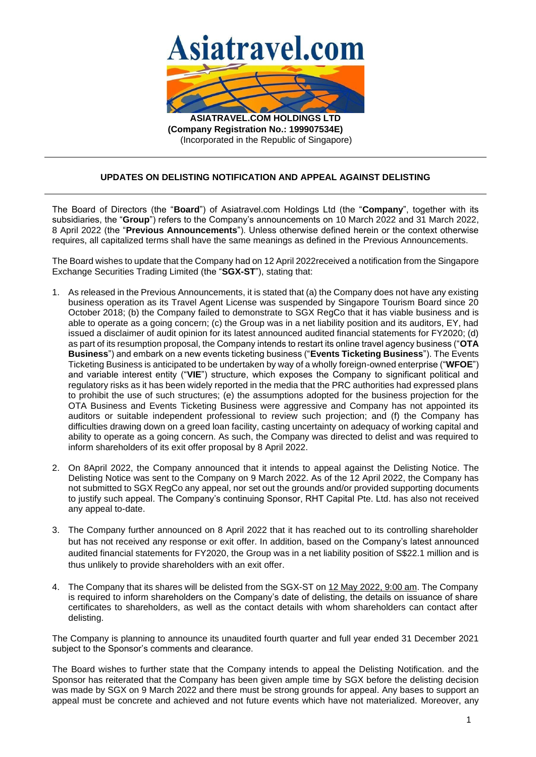

**(Company Registration No.: 199907534E)** (Incorporated in the Republic of Singapore)

## **UPDATES ON DELISTING NOTIFICATION AND APPEAL AGAINST DELISTING**

The Board of Directors (the "**Board**") of Asiatravel.com Holdings Ltd (the "**Company**", together with its subsidiaries, the "**Group**") refers to the Company's announcements on 10 March 2022 and 31 March 2022, 8 April 2022 (the "**Previous Announcements**"). Unless otherwise defined herein or the context otherwise requires, all capitalized terms shall have the same meanings as defined in the Previous Announcements.

The Board wishes to update that the Company had on 12 April 2022received a notification from the Singapore Exchange Securities Trading Limited (the "**SGX-ST**"), stating that:

- 1. As released in the Previous Announcements, it is stated that (a) the Company does not have any existing business operation as its Travel Agent License was suspended by Singapore Tourism Board since 20 October 2018; (b) the Company failed to demonstrate to SGX RegCo that it has viable business and is able to operate as a going concern; (c) the Group was in a net liability position and its auditors, EY, had issued a disclaimer of audit opinion for its latest announced audited financial statements for FY2020; (d) as part of its resumption proposal, the Company intends to restart its online travel agency business ("**OTA Business**") and embark on a new events ticketing business ("**Events Ticketing Business**"). The Events Ticketing Business is anticipated to be undertaken by way of a wholly foreign-owned enterprise ("**WFOE**") and variable interest entity ("**VIE**") structure, which exposes the Company to significant political and regulatory risks as it has been widely reported in the media that the PRC authorities had expressed plans to prohibit the use of such structures; (e) the assumptions adopted for the business projection for the OTA Business and Events Ticketing Business were aggressive and Company has not appointed its auditors or suitable independent professional to review such projection; and (f) the Company has difficulties drawing down on a greed loan facility, casting uncertainty on adequacy of working capital and ability to operate as a going concern. As such, the Company was directed to delist and was required to inform shareholders of its exit offer proposal by 8 April 2022.
- 2. On 8April 2022, the Company announced that it intends to appeal against the Delisting Notice. The Delisting Notice was sent to the Company on 9 March 2022. As of the 12 April 2022, the Company has not submitted to SGX RegCo any appeal, nor set out the grounds and/or provided supporting documents to justify such appeal. The Company's continuing Sponsor, RHT Capital Pte. Ltd. has also not received any appeal to-date.
- 3. The Company further announced on 8 April 2022 that it has reached out to its controlling shareholder but has not received any response or exit offer. In addition, based on the Company's latest announced audited financial statements for FY2020, the Group was in a net liability position of S\$22.1 million and is thus unlikely to provide shareholders with an exit offer.
- 4. The Company that its shares will be delisted from the SGX-ST on 12 May 2022, 9:00 am. The Company is required to inform shareholders on the Company's date of delisting, the details on issuance of share certificates to shareholders, as well as the contact details with whom shareholders can contact after delisting.

The Company is planning to announce its unaudited fourth quarter and full year ended 31 December 2021 subject to the Sponsor's comments and clearance.

The Board wishes to further state that the Company intends to appeal the Delisting Notification. and the Sponsor has reiterated that the Company has been given ample time by SGX before the delisting decision was made by SGX on 9 March 2022 and there must be strong grounds for appeal. Any bases to support an appeal must be concrete and achieved and not future events which have not materialized. Moreover, any